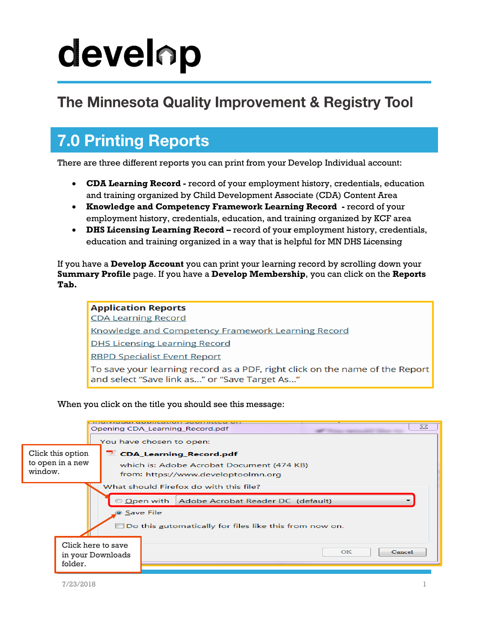# develop

#### The Minnesota Quality Improvement & Registry Tool

### **7.0 Printing Reports**

There are three different reports you can print from your Develop Individual account:

- **CDA Learning Record -** record of your employment history, credentials, education and training organized by Child Development Associate (CDA) Content Area
- **Knowledge and Competency Framework Learning Record -** record of your employment history, credentials, education, and training organized by KCF area
- **DHS Licensing Learning Record –** record of you**r** employment history, credentials, education and training organized in a way that is helpful for MN DHS Licensing

If you have a **Develop Account** you can print your learning record by scrolling down your **Summary Profile** page. If you have a **Develop Membership**, you can click on the **Reports Tab.**

**Application Reports CDA Learning Record** Knowledge and Competency Framework Learning Record **DHS Licensing Learning Record RBPD Specialist Event Report** To save your learning record as a PDF, right click on the name of the Report and select "Save link as..." or "Save Target As..."

When you click on the title you should see this message:

|                                                        |                                           | $\Sigma$<br>Opening CDA_Learning_Record.pdf      |  |  |  |  |  |  |
|--------------------------------------------------------|-------------------------------------------|--------------------------------------------------|--|--|--|--|--|--|
|                                                        |                                           | You have chosen to open:                         |  |  |  |  |  |  |
| Click this option                                      | CDA_Learning_Record.pdf                   |                                                  |  |  |  |  |  |  |
| to open in a new                                       | which is: Adobe Acrobat Document (474 KB) |                                                  |  |  |  |  |  |  |
| window.                                                | from: https://www.developtoolmn.org       |                                                  |  |  |  |  |  |  |
|                                                        |                                           | What should Firefox do with this file?           |  |  |  |  |  |  |
|                                                        |                                           | © Open with<br>Adobe Acrobat Reader DC (default) |  |  |  |  |  |  |
| <b>Save File</b>                                       |                                           |                                                  |  |  |  |  |  |  |
| Do this automatically for files like this from now on. |                                           |                                                  |  |  |  |  |  |  |
| Click here to save                                     |                                           |                                                  |  |  |  |  |  |  |
|                                                        | in your Downloads                         | Cancel<br>OK                                     |  |  |  |  |  |  |
| folder.                                                |                                           |                                                  |  |  |  |  |  |  |
|                                                        |                                           |                                                  |  |  |  |  |  |  |